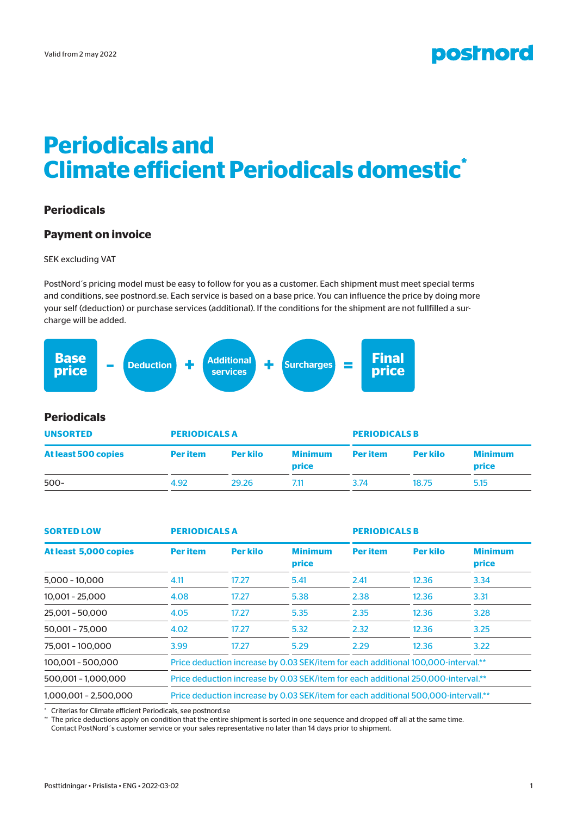

# **Periodicals and Climate efficient Periodicals domestic\***

### **Periodicals**

#### **Payment on invoice**

SEK excluding VAT

PostNord´s pricing model must be easy to follow for you as a customer. Each shipment must meet special terms and conditions, see postnord.se. Each service is based on a base price. You can influence the price by doing more your self (deduction) or purchase services (additional). If the conditions for the shipment are not fullfilled a surcharge will be added.



#### **Periodicals**

| <b>UNSORTED</b>     | <b>PERIODICALS A</b> |          |                  | <b>PERIODICALS B</b> |                |                         |
|---------------------|----------------------|----------|------------------|----------------------|----------------|-------------------------|
| At least 500 copies | <b>Per item</b>      | Per kilo | Minimum<br>price | Per item             | <b>Perkilo</b> | <b>Minimum</b><br>price |
| $500 -$             | 4.92                 | 29.26    | 7.11             | 3.74                 | 18.75          | 5.15                    |

| <b>SORTED LOW</b>     | <b>PERIODICALS A</b>                                                               |                 |                         | <b>PERIODICALS B</b> |                |                         |
|-----------------------|------------------------------------------------------------------------------------|-----------------|-------------------------|----------------------|----------------|-------------------------|
| At least 5,000 copies | <b>Per item</b>                                                                    | <b>Per kilo</b> | <b>Minimum</b><br>price | Per item             | <b>Perkilo</b> | <b>Minimum</b><br>price |
| $5,000 - 10,000$      | 4.11                                                                               | 17.27           | 5.41                    | 2.41                 | 12.36          | 3.34                    |
| $10.001 - 25.000$     | 4.08                                                                               | 17.27           | 5.38                    | 2.38                 | 12.36          | 3.31                    |
| 25,001 - 50,000       | 4.05                                                                               | 17.27           | 5.35                    | 2.35                 | 12.36          | 3.28                    |
| 50.001 - 75.000       | 4.02                                                                               | 17.27           | 5.32                    | 2.32                 | 12.36          | 3.25                    |
| 75.001 - 100.000      | 3.99                                                                               | 17.27           | 5.29                    | 2.29                 | 12.36          | 3.22                    |
| 100.001 - 500.000     | Price deduction increase by 0.03 SEK/item for each additional 100,000-interval.**  |                 |                         |                      |                |                         |
| 500.001 - 1.000.000   | Price deduction increase by 0.03 SEK/item for each additional 250,000-interval.**  |                 |                         |                      |                |                         |
| 1.000.001 - 2.500.000 | Price deduction increase by 0.03 SEK/item for each additional 500,000-intervall.** |                 |                         |                      |                |                         |

\* Criterias for Climate efficient Periodicals, see postnord.se

\*\* The price deductions apply on condition that the entire shipment is sorted in one sequence and dropped off all at the same time.

Contact PostNord´s customer service or your sales representative no later than 14 days prior to shipment.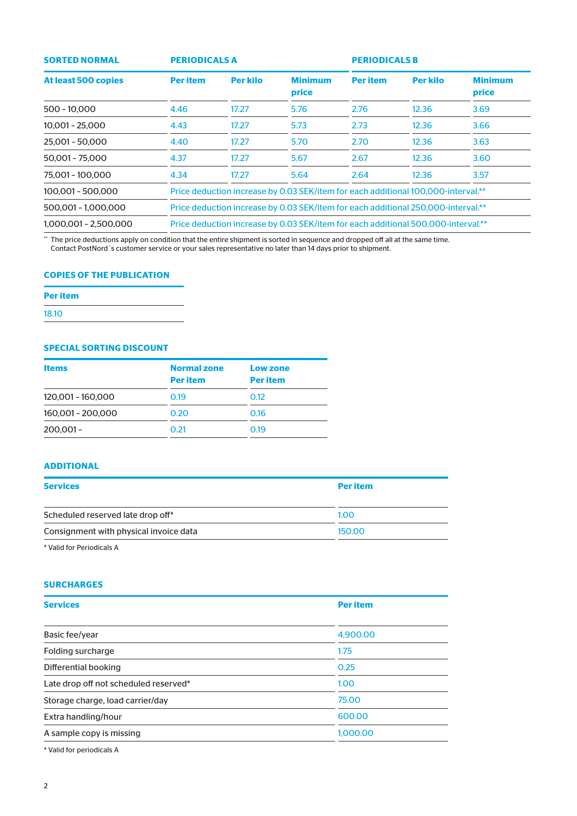| <b>SORTED NORMAL</b>  | <b>PERIODICALS A</b>                                                              |          |                         | <b>PERIODICALS B</b> |                 |                         |
|-----------------------|-----------------------------------------------------------------------------------|----------|-------------------------|----------------------|-----------------|-------------------------|
| At least 500 copies   | <b>Per item</b>                                                                   | Per kilo | <b>Minimum</b><br>price | <b>Per item</b>      | <b>Per kilo</b> | <b>Minimum</b><br>price |
| $500 - 10,000$        | 4.46                                                                              | 17.27    | 5.76                    | 2.76                 | 12.36           | 3.69                    |
| $10.001 - 25.000$     | 4.43                                                                              | 17.27    | 5.73                    | 2.73                 | 12.36           | 3.66                    |
| 25.001 - 50.000       | 4.40                                                                              | 17.27    | 5.70                    | 2.70                 | 12.36           | 3.63                    |
| 50.001 - 75.000       | 4.37                                                                              | 17.27    | 5.67                    | 2.67                 | 12.36           | 3.60                    |
| 75.001 - 100.000      | 4.34                                                                              | 17.27    | 5.64                    | 2.64                 | 12.36           | 3.57                    |
| 100,001 - 500,000     | Price deduction increase by 0.03 SEK/item for each additional 100,000-interval.** |          |                         |                      |                 |                         |
| 500.001 - 1.000.000   | Price deduction increase by 0.03 SEK/item for each additional 250,000-interval.** |          |                         |                      |                 |                         |
| 1.000.001 - 2.500.000 | Price deduction increase by 0.03 SEK/item for each additional 500,000-interval.** |          |                         |                      |                 |                         |
|                       |                                                                                   |          |                         |                      |                 |                         |

\*\* The price deductions apply on condition that the entire shipment is sorted in sequence and dropped off all at the same time. Contact PostNord´s customer service or your sales representative no later than 14 days prior to shipment.

#### **COPIES OF THE PUBLICATION**

#### **Per item**

18.10

#### **SPECIAL SORTING DISCOUNT**

| <b>Normal zone</b> | <b>Low zone</b> |
|--------------------|-----------------|
| <b>Per item</b>    | <b>Per item</b> |
| 0.19               | 0.12            |
| 0.20               | 0.16            |
| O 21               | 0.19            |
|                    |                 |

#### **ADDITIONAL**

| <b>Services</b>                        | <b>Per item</b> |  |
|----------------------------------------|-----------------|--|
| Scheduled reserved late drop off*      | 1.00            |  |
| Consignment with physical invoice data | 150.00          |  |

\* Valid for Periodicals A

#### **SURCHARGES**

| <b>Services</b>                       | <b>Per item</b> |  |
|---------------------------------------|-----------------|--|
| Basic fee/year                        | 4,900.00        |  |
| Folding surcharge                     | 1.75            |  |
| Differential booking                  | 0.25            |  |
| Late drop off not scheduled reserved* | 1.00            |  |
| Storage charge, load carrier/day      | 75.00           |  |
| Extra handling/hour                   | 600.00          |  |
| A sample copy is missing              | 1,000.00        |  |

\* Valid for periodicals A